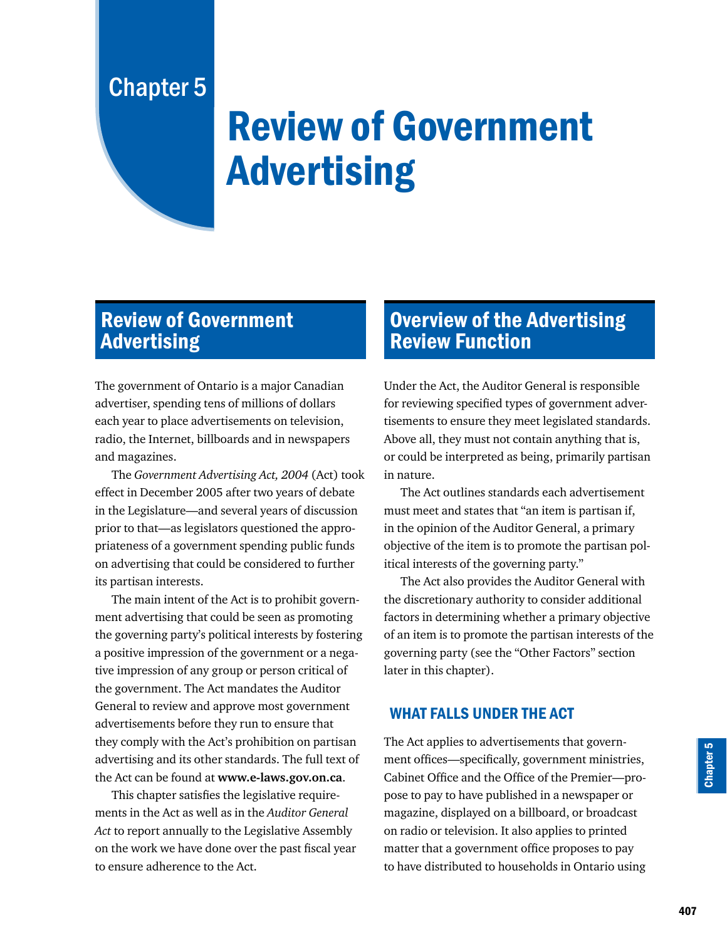# Chapter 5

# Review of Government Advertising

## Review of Government **Advertising**

The government of Ontario is a major Canadian advertiser, spending tens of millions of dollars each year to place advertisements on television, radio, the Internet, billboards and in newspapers and magazines.

The *Government Advertising Act, 2004* (Act) took effect in December 2005 after two years of debate in the Legislature—and several years of discussion prior to that—as legislators questioned the appropriateness of a government spending public funds on advertising that could be considered to further its partisan interests.

The main intent of the Act is to prohibit government advertising that could be seen as promoting the governing party's political interests by fostering a positive impression of the government or a negative impression of any group or person critical of the government. The Act mandates the Auditor General to review and approve most government advertisements before they run to ensure that they comply with the Act's prohibition on partisan advertising and its other standards. The full text of the Act can be found at **www.e-laws.gov.on.ca**.

This chapter satisfies the legislative requirements in the Act as well as in the *Auditor General Act* to report annually to the Legislative Assembly on the work we have done over the past fiscal year to ensure adherence to the Act.

## Overview of the Advertising Review Function

Under the Act, the Auditor General is responsible for reviewing specified types of government advertisements to ensure they meet legislated standards. Above all, they must not contain anything that is, or could be interpreted as being, primarily partisan in nature.

The Act outlines standards each advertisement must meet and states that "an item is partisan if, in the opinion of the Auditor General, a primary objective of the item is to promote the partisan political interests of the governing party."

The Act also provides the Auditor General with the discretionary authority to consider additional factors in determining whether a primary objective of an item is to promote the partisan interests of the governing party (see the "Other Factors" section later in this chapter).

#### WHAT FALLS UNDER THE ACT

The Act applies to advertisements that government offices—specifically, government ministries, Cabinet Office and the Office of the Premier—propose to pay to have published in a newspaper or magazine, displayed on a billboard, or broadcast on radio or television. It also applies to printed matter that a government office proposes to pay to have distributed to households in Ontario using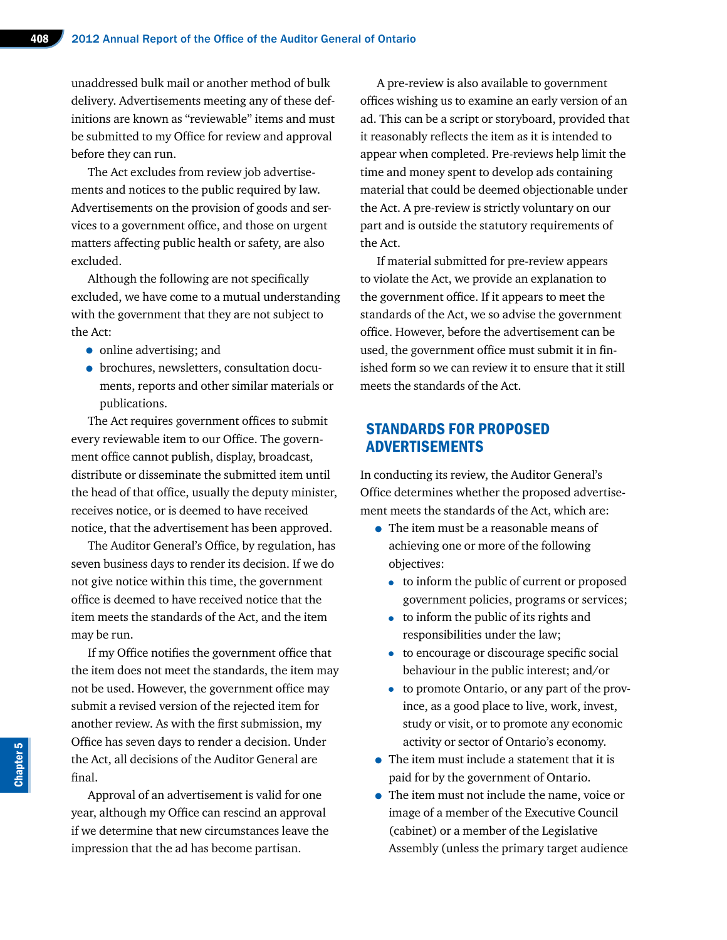unaddressed bulk mail or another method of bulk delivery. Advertisements meeting any of these definitions are known as "reviewable" items and must be submitted to my Office for review and approval before they can run.

The Act excludes from review job advertisements and notices to the public required by law. Advertisements on the provision of goods and services to a government office, and those on urgent matters affecting public health or safety, are also excluded.

Although the following are not specifically excluded, we have come to a mutual understanding with the government that they are not subject to the Act:

- online advertising; and
- brochures, newsletters, consultation documents, reports and other similar materials or publications.

The Act requires government offices to submit every reviewable item to our Office. The government office cannot publish, display, broadcast, distribute or disseminate the submitted item until the head of that office, usually the deputy minister, receives notice, or is deemed to have received notice, that the advertisement has been approved.

The Auditor General's Office, by regulation, has seven business days to render its decision. If we do not give notice within this time, the government office is deemed to have received notice that the item meets the standards of the Act, and the item may be run.

If my Office notifies the government office that the item does not meet the standards, the item may not be used. However, the government office may submit a revised version of the rejected item for another review. As with the first submission, my Office has seven days to render a decision. Under the Act, all decisions of the Auditor General are final.

Approval of an advertisement is valid for one year, although my Office can rescind an approval if we determine that new circumstances leave the impression that the ad has become partisan.

A pre-review is also available to government offices wishing us to examine an early version of an ad. This can be a script or storyboard, provided that it reasonably reflects the item as it is intended to appear when completed. Pre-reviews help limit the time and money spent to develop ads containing material that could be deemed objectionable under the Act. A pre-review is strictly voluntary on our part and is outside the statutory requirements of the Act.

If material submitted for pre-review appears to violate the Act, we provide an explanation to the government office. If it appears to meet the standards of the Act, we so advise the government office. However, before the advertisement can be used, the government office must submit it in finished form so we can review it to ensure that it still meets the standards of the Act.

#### STANDARDS FOR PROPOSED ADVERTISEMENTS

In conducting its review, the Auditor General's Office determines whether the proposed advertisement meets the standards of the Act, which are:

- The item must be a reasonable means of achieving one or more of the following objectives:
	- to inform the public of current or proposed government policies, programs or services;
	- to inform the public of its rights and responsibilities under the law;
	- to encourage or discourage specific social behaviour in the public interest; and/or
	- to promote Ontario, or any part of the province, as a good place to live, work, invest, study or visit, or to promote any economic activity or sector of Ontario's economy.
- The item must include a statement that it is paid for by the government of Ontario.
- The item must not include the name, voice or image of a member of the Executive Council (cabinet) or a member of the Legislative Assembly (unless the primary target audience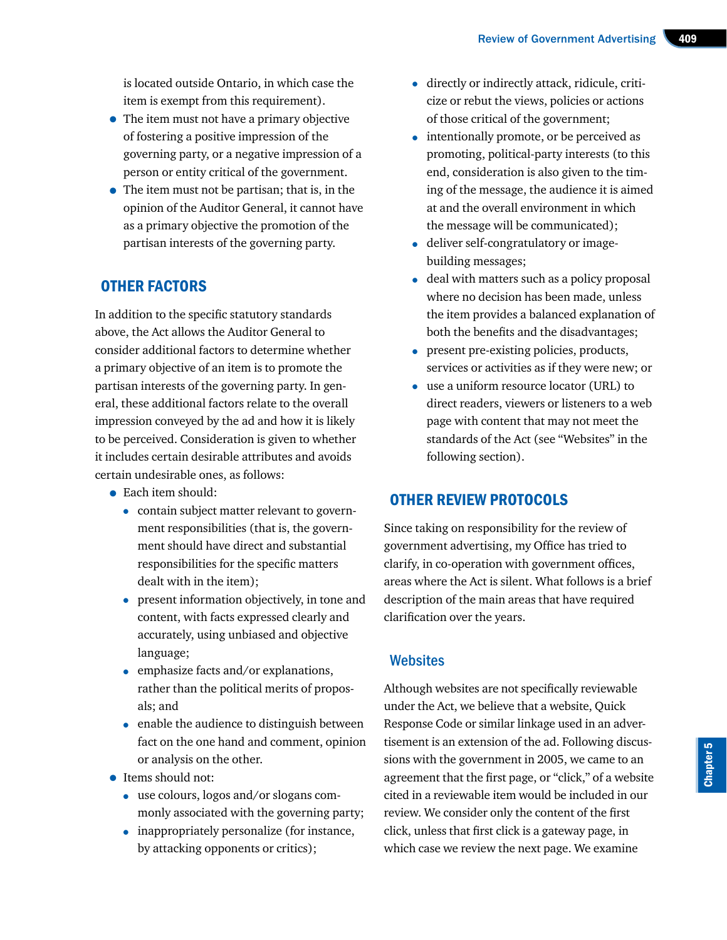is located outside Ontario, in which case the item is exempt from this requirement).

- The item must not have a primary objective of fostering a positive impression of the governing party, or a negative impression of a person or entity critical of the government.
- The item must not be partisan; that is, in the opinion of the Auditor General, it cannot have as a primary objective the promotion of the partisan interests of the governing party.

## OTHER FACTORS

In addition to the specific statutory standards above, the Act allows the Auditor General to consider additional factors to determine whether a primary objective of an item is to promote the partisan interests of the governing party. In general, these additional factors relate to the overall impression conveyed by the ad and how it is likely to be perceived. Consideration is given to whether it includes certain desirable attributes and avoids certain undesirable ones, as follows:

- Each item should:
	- contain subject matter relevant to government responsibilities (that is, the government should have direct and substantial responsibilities for the specific matters dealt with in the item);
	- present information objectively, in tone and content, with facts expressed clearly and accurately, using unbiased and objective language;
	- emphasize facts and/or explanations, rather than the political merits of proposals; and
	- enable the audience to distinguish between fact on the one hand and comment, opinion or analysis on the other.
- Items should not:
	- use colours, logos and/or slogans commonly associated with the governing party;
	- inappropriately personalize (for instance, by attacking opponents or critics);
- directly or indirectly attack, ridicule, criticize or rebut the views, policies or actions of those critical of the government;
- intentionally promote, or be perceived as promoting, political-party interests (to this end, consideration is also given to the timing of the message, the audience it is aimed at and the overall environment in which the message will be communicated);
- deliver self-congratulatory or imagebuilding messages;
- deal with matters such as a policy proposal where no decision has been made, unless the item provides a balanced explanation of both the benefits and the disadvantages;
- present pre-existing policies, products, services or activities as if they were new; or
- use a uniform resource locator (URL) to direct readers, viewers or listeners to a web page with content that may not meet the standards of the Act (see "Websites" in the following section).

#### OTHER REVIEW PROTOCOLS

Since taking on responsibility for the review of government advertising, my Office has tried to clarify, in co-operation with government offices, areas where the Act is silent. What follows is a brief description of the main areas that have required clarification over the years.

#### **Websites**

Although websites are not specifically reviewable under the Act, we believe that a website, Quick Response Code or similar linkage used in an advertisement is an extension of the ad. Following discussions with the government in 2005, we came to an agreement that the first page, or "click," of a website cited in a reviewable item would be included in our review. We consider only the content of the first click, unless that first click is a gateway page, in which case we review the next page. We examine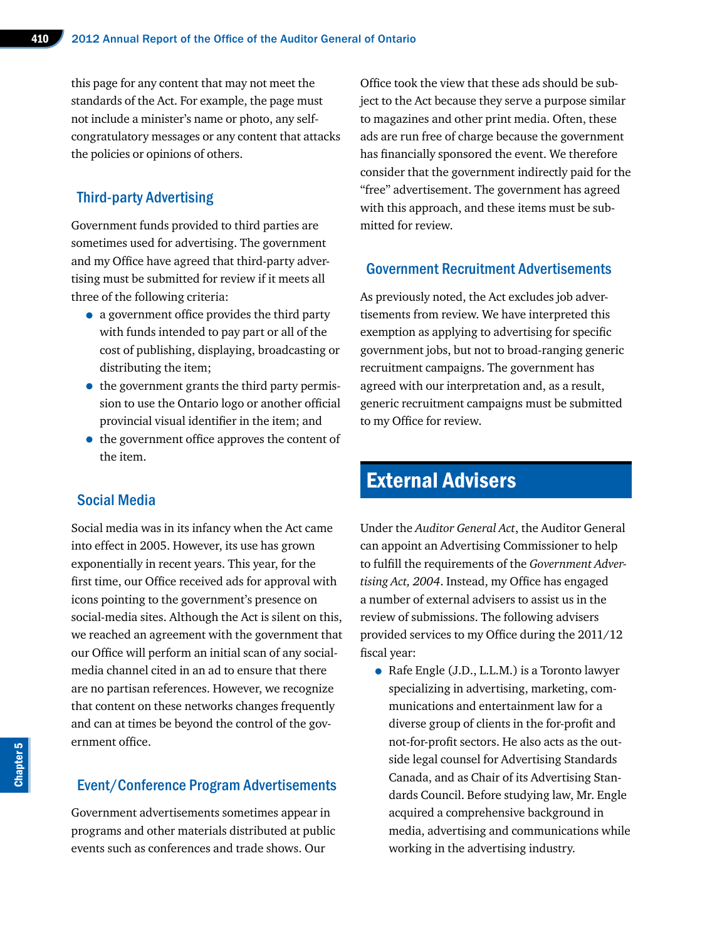this page for any content that may not meet the standards of the Act. For example, the page must not include a minister's name or photo, any selfcongratulatory messages or any content that attacks the policies or opinions of others.

### Third-party Advertising

Government funds provided to third parties are sometimes used for advertising. The government and my Office have agreed that third-party advertising must be submitted for review if it meets all three of the following criteria:

- a government office provides the third party with funds intended to pay part or all of the cost of publishing, displaying, broadcasting or distributing the item;
- the government grants the third party permission to use the Ontario logo or another official provincial visual identifier in the item; and
- the government office approves the content of the item.

#### Social Media

Social media was in its infancy when the Act came into effect in 2005. However, its use has grown exponentially in recent years. This year, for the first time, our Office received ads for approval with icons pointing to the government's presence on social-media sites. Although the Act is silent on this, we reached an agreement with the government that our Office will perform an initial scan of any socialmedia channel cited in an ad to ensure that there are no partisan references. However, we recognize that content on these networks changes frequently and can at times be beyond the control of the government office.

#### Event/Conference Program Advertisements

Government advertisements sometimes appear in programs and other materials distributed at public events such as conferences and trade shows. Our

Office took the view that these ads should be subject to the Act because they serve a purpose similar to magazines and other print media. Often, these ads are run free of charge because the government has financially sponsored the event. We therefore consider that the government indirectly paid for the "free" advertisement. The government has agreed with this approach, and these items must be submitted for review.

#### Government Recruitment Advertisements

As previously noted, the Act excludes job advertisements from review. We have interpreted this exemption as applying to advertising for specific government jobs, but not to broad-ranging generic recruitment campaigns. The government has agreed with our interpretation and, as a result, generic recruitment campaigns must be submitted to my Office for review.

## External Advisers

Under the *Auditor General Act*, the Auditor General can appoint an Advertising Commissioner to help to fulfill the requirements of the *Government Advertising Act, 2004*. Instead, my Office has engaged a number of external advisers to assist us in the review of submissions. The following advisers provided services to my Office during the 2011/12 fiscal year:

• Rafe Engle (J.D., L.L.M.) is a Toronto lawyer specializing in advertising, marketing, communications and entertainment law for a diverse group of clients in the for-profit and not-for-profit sectors. He also acts as the outside legal counsel for Advertising Standards Canada, and as Chair of its Advertising Standards Council. Before studying law, Mr. Engle acquired a comprehensive background in media, advertising and communications while working in the advertising industry.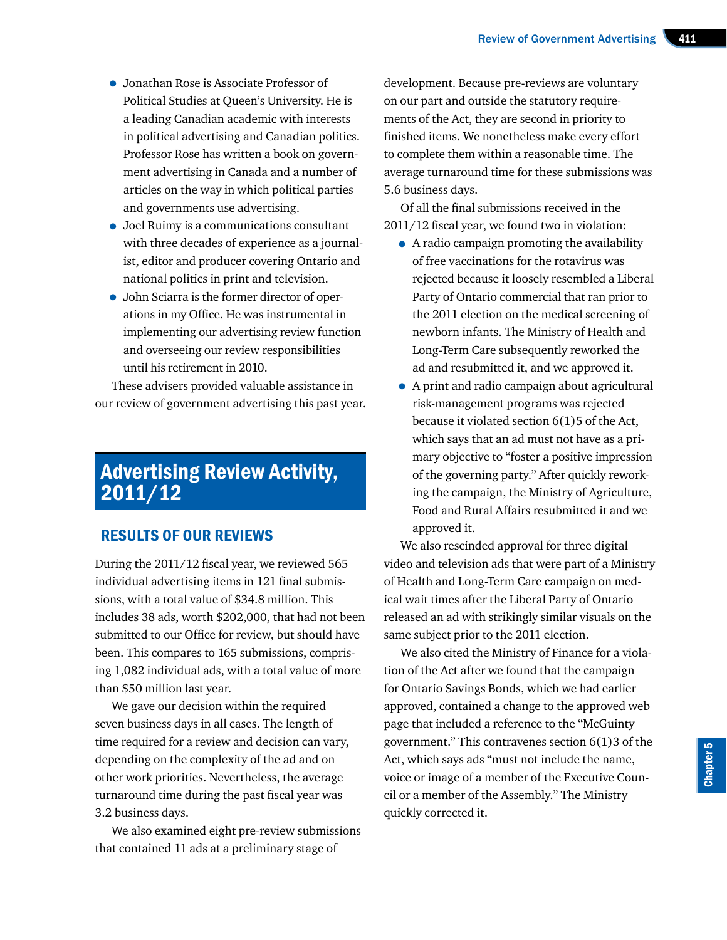- Jonathan Rose is Associate Professor of Political Studies at Queen's University. He is a leading Canadian academic with interests in political advertising and Canadian politics. Professor Rose has written a book on government advertising in Canada and a number of articles on the way in which political parties and governments use advertising.
- Joel Ruimy is a communications consultant with three decades of experience as a journalist, editor and producer covering Ontario and national politics in print and television.
- John Sciarra is the former director of operations in my Office. He was instrumental in implementing our advertising review function and overseeing our review responsibilities until his retirement in 2010.

These advisers provided valuable assistance in our review of government advertising this past year.

## Advertising Review Activity, 2011/12

### RESULTS OF OUR REVIEWS

During the 2011/12 fiscal year, we reviewed 565 individual advertising items in 121 final submissions, with a total value of \$34.8 million. This includes 38 ads, worth \$202,000, that had not been submitted to our Office for review, but should have been. This compares to 165 submissions, comprising 1,082 individual ads, with a total value of more than \$50 million last year.

We gave our decision within the required seven business days in all cases. The length of time required for a review and decision can vary, depending on the complexity of the ad and on other work priorities. Nevertheless, the average turnaround time during the past fiscal year was 3.2 business days.

We also examined eight pre-review submissions that contained 11 ads at a preliminary stage of

development. Because pre-reviews are voluntary on our part and outside the statutory requirements of the Act, they are second in priority to finished items. We nonetheless make every effort to complete them within a reasonable time. The average turnaround time for these submissions was 5.6 business days.

Of all the final submissions received in the 2011/12 fiscal year, we found two in violation:

- A radio campaign promoting the availability of free vaccinations for the rotavirus was rejected because it loosely resembled a Liberal Party of Ontario commercial that ran prior to the 2011 election on the medical screening of newborn infants. The Ministry of Health and Long-Term Care subsequently reworked the ad and resubmitted it, and we approved it.
- A print and radio campaign about agricultural risk-management programs was rejected because it violated section 6(1)5 of the Act, which says that an ad must not have as a primary objective to "foster a positive impression of the governing party." After quickly reworking the campaign, the Ministry of Agriculture, Food and Rural Affairs resubmitted it and we approved it.

We also rescinded approval for three digital video and television ads that were part of a Ministry of Health and Long-Term Care campaign on medical wait times after the Liberal Party of Ontario released an ad with strikingly similar visuals on the same subject prior to the 2011 election.

We also cited the Ministry of Finance for a violation of the Act after we found that the campaign for Ontario Savings Bonds, which we had earlier approved, contained a change to the approved web page that included a reference to the "McGuinty government." This contravenes section 6(1)3 of the Act, which says ads "must not include the name, voice or image of a member of the Executive Council or a member of the Assembly." The Ministry quickly corrected it.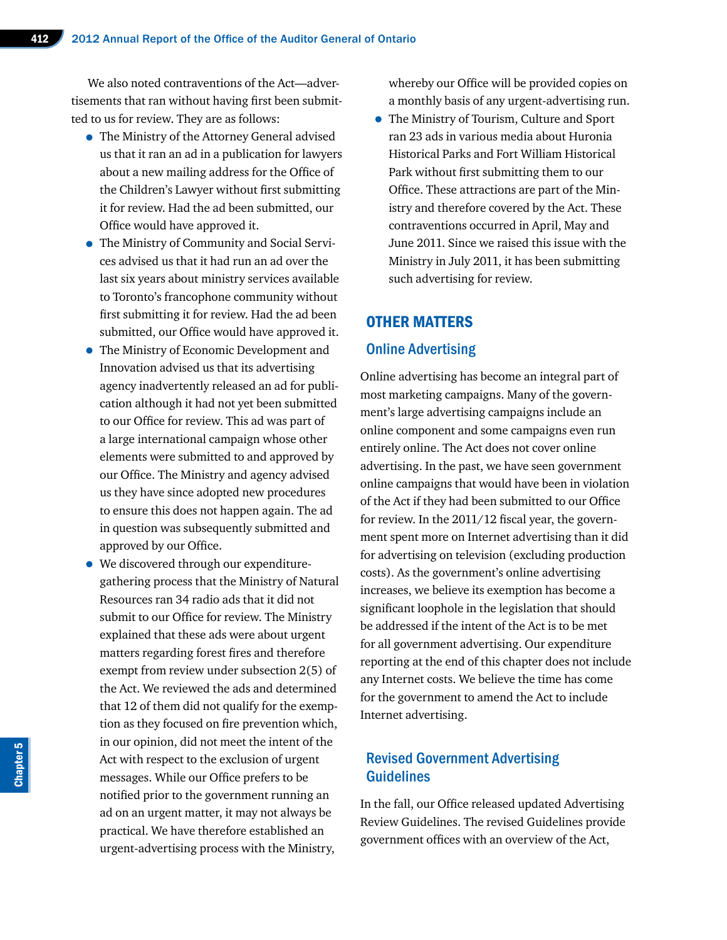We also noted contraventions of the Act—advertisements that ran without having first been submitted to us for review. They are as follows:

- The Ministry of the Attorney General advised us that it ran an ad in a publication for lawyers about a new mailing address for the Office of the Children's Lawyer without first submitting it for review. Had the ad been submitted, our Office would have approved it.
- The Ministry of Community and Social Services advised us that it had run an ad over the last six years about ministry services available to Toronto's francophone community without first submitting it for review. Had the ad been submitted, our Office would have approved it.
- The Ministry of Economic Development and Innovation advised us that its advertising agency inadvertently released an ad for publication although it had not yet been submitted to our Office for review. This ad was part of a large international campaign whose other elements were submitted to and approved by our Office. The Ministry and agency advised us they have since adopted new procedures to ensure this does not happen again. The ad in question was subsequently submitted and approved by our Office.
- We discovered through our expendituregathering process that the Ministry of Natural Resources ran 34 radio ads that it did not submit to our Office for review. The Ministry explained that these ads were about urgent matters regarding forest fires and therefore exempt from review under subsection 2(5) of the Act. We reviewed the ads and determined that 12 of them did not qualify for the exemption as they focused on fire prevention which, in our opinion, did not meet the intent of the Act with respect to the exclusion of urgent messages. While our Office prefers to be notified prior to the government running an ad on an urgent matter, it may not always be practical. We have therefore established an urgent-advertising process with the Ministry,

whereby our Office will be provided copies on a monthly basis of any urgent-advertising run.

• The Ministry of Tourism, Culture and Sport ran 23 ads in various media about Huronia Historical Parks and Fort William Historical Park without first submitting them to our Office. These attractions are part of the Ministry and therefore covered by the Act. These contraventions occurred in April, May and June 2011. Since we raised this issue with the Ministry in July 2011, it has been submitting such advertising for review.

#### OTHER MATTERS

#### Online Advertising

Online advertising has become an integral part of most marketing campaigns. Many of the government's large advertising campaigns include an online component and some campaigns even run entirely online. The Act does not cover online advertising. In the past, we have seen government online campaigns that would have been in violation of the Act if they had been submitted to our Office for review. In the 2011/12 fiscal year, the government spent more on Internet advertising than it did for advertising on television (excluding production costs). As the government's online advertising increases, we believe its exemption has become a significant loophole in the legislation that should be addressed if the intent of the Act is to be met for all government advertising. Our expenditure reporting at the end of this chapter does not include any Internet costs. We believe the time has come for the government to amend the Act to include Internet advertising.

#### Revised Government Advertising **Guidelines**

In the fall, our Office released updated Advertising Review Guidelines. The revised Guidelines provide government offices with an overview of the Act,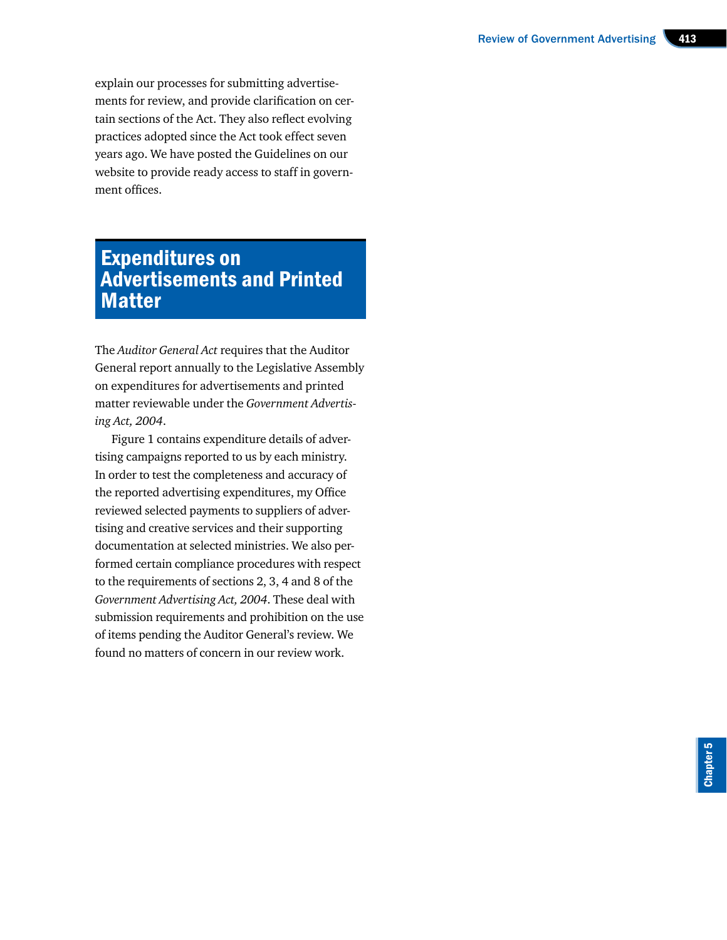explain our processes for submitting advertisements for review, and provide clarification on certain sections of the Act. They also reflect evolving practices adopted since the Act took effect seven years ago. We have posted the Guidelines on our website to provide ready access to staff in government offices.

## Expenditures on Advertisements and Printed **Matter**

The *Auditor General Act* requires that the Auditor General report annually to the Legislative Assembly on expenditures for advertisements and printed matter reviewable under the *Government Advertising Act, 2004*.

Figure 1 contains expenditure details of advertising campaigns reported to us by each ministry. In order to test the completeness and accuracy of the reported advertising expenditures, my Office reviewed selected payments to suppliers of advertising and creative services and their supporting documentation at selected ministries. We also performed certain compliance procedures with respect to the requirements of sections 2, 3, 4 and 8 of the *Government Advertising Act, 2004*. These deal with submission requirements and prohibition on the use of items pending the Auditor General's review. We found no matters of concern in our review work.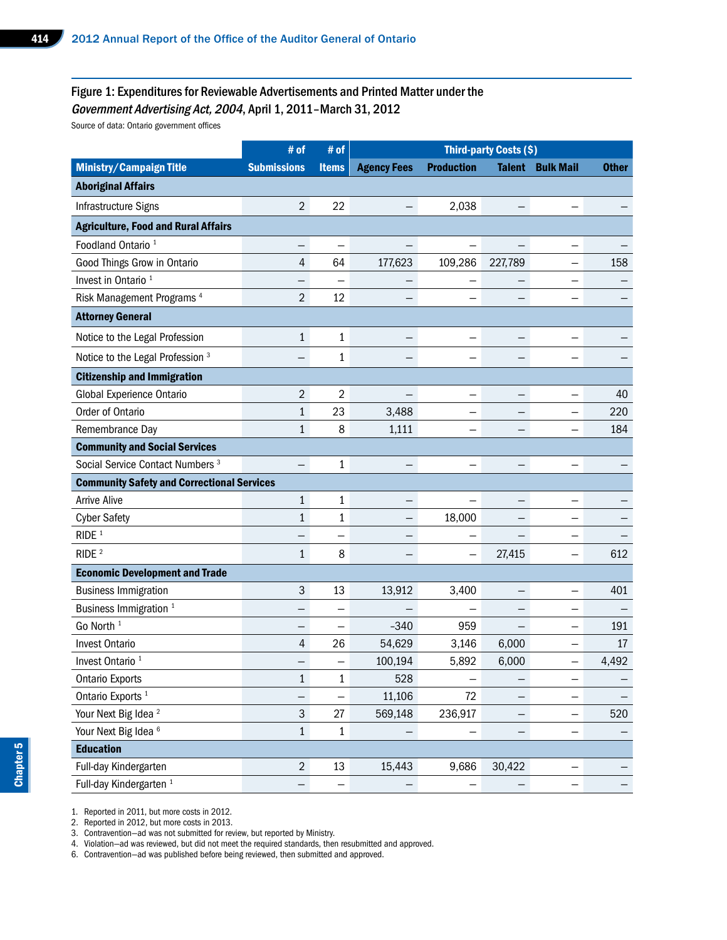#### Figure 1: Expenditures for Reviewable Advertisements and Printed Matter under the Government Advertising Act, 2004, April 1, 2011–March 31, 2012

Source of data: Ontario government offices

|                                                   | # of               | # of                     |                               |                          | <b>Third-party Costs (\$)</b> |                          |                          |
|---------------------------------------------------|--------------------|--------------------------|-------------------------------|--------------------------|-------------------------------|--------------------------|--------------------------|
| Ministry/Campaign Title                           | <b>Submissions</b> | <b>Items</b>             | <b>Agency Fees Production</b> |                          |                               | <b>Talent Bulk Mail</b>  | <b>Other</b>             |
| <b>Aboriginal Affairs</b>                         |                    |                          |                               |                          |                               |                          |                          |
| Infrastructure Signs                              | $\overline{2}$     | 22                       | $-$                           | 2,038                    | $-$                           | $\qquad \qquad -$        |                          |
| <b>Agriculture, Food and Rural Affairs</b>        |                    |                          |                               |                          |                               |                          |                          |
| Foodland Ontario <sup>1</sup>                     | $-$                | $\overline{\phantom{0}}$ | $-$                           | $\overline{\phantom{m}}$ | $-$                           | $-$                      | $\qquad \qquad -$        |
| Good Things Grow in Ontario                       | $\overline{4}$     | 64                       | 177,623                       | 109,286 227,789          |                               | $-$                      | 158                      |
| Invest in Ontario <sup>1</sup>                    | $\qquad \qquad -$  | $\overline{\phantom{m}}$ | $-$                           | $\overline{\phantom{m}}$ | $\qquad \qquad -$             | $-$                      |                          |
| Risk Management Programs <sup>4</sup>             | $2\overline{ }$    | 12                       | $-$                           | $\overline{\phantom{m}}$ | $-$                           | $\qquad \qquad -$        |                          |
| <b>Attorney General</b>                           |                    |                          |                               |                          |                               |                          |                          |
| Notice to the Legal Profession                    | 1                  | 1                        | $-$                           | $\overline{\phantom{m}}$ | $-$                           |                          |                          |
| Notice to the Legal Profession <sup>3</sup>       | $-$                | 1                        | $\equiv$                      | $\qquad \qquad -$        |                               | $\overline{\phantom{0}}$ |                          |
| <b>Citizenship and Immigration</b>                |                    |                          |                               |                          |                               |                          |                          |
| Global Experience Ontario                         | $\overline{2}$     | $\overline{2}$           | $\overline{\phantom{m}}$      | $\overline{\phantom{m}}$ | $-$                           | $-$                      | 40                       |
| Order of Ontario                                  |                    | 23                       | 3,488                         | $-$                      | $\overline{\phantom{m}}$      | $-$                      | 220                      |
| Remembrance Day                                   |                    | 8                        | 1,111                         | $\qquad \qquad -$        | $\qquad \qquad -$             | $\qquad \qquad -$        | 184                      |
| <b>Community and Social Services</b>              |                    |                          |                               |                          |                               |                          |                          |
| Social Service Contact Numbers <sup>3</sup>       | $-$                |                          | $-$                           | $\overline{\phantom{m}}$ | $\qquad \qquad -$             |                          |                          |
| <b>Community Safety and Correctional Services</b> |                    |                          |                               |                          |                               |                          |                          |
| <b>Arrive Alive</b>                               | 1                  | $\mathbf 1$              | $ \,$                         | $\overline{\phantom{m}}$ | $\qquad \qquad -$             | $\qquad \qquad -$        |                          |
| <b>Cyber Safety</b>                               |                    | $\mathbf{1}$             | $-$                           | 18,000                   | $-$                           | $\qquad \qquad -$        |                          |
| RIDE <sup>1</sup>                                 | $\qquad \qquad -$  |                          | $\overline{\phantom{m}}$      | $\overline{\phantom{m}}$ | $-$                           | $-$                      | $\qquad \qquad -$        |
| RIDE <sup>2</sup>                                 | 1                  | 8                        | $\equiv$                      | $\overline{\phantom{m}}$ | 27,415                        | $\overline{\phantom{m}}$ | 612                      |
| <b>Economic Development and Trade</b>             |                    |                          |                               |                          |                               |                          |                          |
| <b>Business Immigration</b>                       | $\mathbf{3}$       | 13                       | 13,912                        | 3,400                    | $\overline{\phantom{0}}$      | $ \,$                    | 401                      |
| Business Immigration <sup>1</sup>                 | $\qquad \qquad -$  | $\qquad \qquad -$        | $\overline{\phantom{m}}$      | $\overline{\phantom{m}}$ | $-$                           | $\overline{\phantom{0}}$ | $\overline{\phantom{m}}$ |
| Go North <sup>1</sup>                             | $\qquad \qquad -$  | $\overline{\phantom{0}}$ | $-340$                        | 959                      | $-$                           | $-$                      | 191                      |
| Invest Ontario                                    | 4                  | 26                       | 54,629                        | 3,146                    | 6,000                         | $-$                      | $17\,$                   |
| Invest Ontario <sup>1</sup>                       | $\qquad \qquad -$  | $\overline{\phantom{0}}$ | 100,194                       | 5,892                    | 6,000                         | $-$                      | 4,492                    |
| <b>Ontario Exports</b>                            | $\mathbf{1}$       | $\mathbf{1}$             | 528                           | $\overline{\phantom{m}}$ | $\qquad \qquad -$             | $\qquad \qquad -$        |                          |
| Ontario Exports <sup>1</sup>                      | $-$                | $\overline{\phantom{m}}$ | 11,106                        | 72                       | $-$                           | $\qquad \qquad -$        |                          |
| Your Next Big Idea <sup>2</sup>                   | 3 <sup>1</sup>     | 27                       | 569,148                       | 236,917                  | $-$                           | $-$                      | 520                      |
| Your Next Big Idea <sup>6</sup>                   | 1                  | $\mathbf{1}$             | $\equiv$                      | $-$                      | $-$                           | $\overline{\phantom{m}}$ |                          |
| <b>Education</b>                                  |                    |                          |                               |                          |                               |                          |                          |
| Full-day Kindergarten                             | $2^{\circ}$        | 13                       | 15,443                        | 9,686                    | 30,422                        | $\overline{\phantom{m}}$ |                          |
| Full-day Kindergarten <sup>1</sup>                | $-$                | $\overline{\phantom{m}}$ | $\equiv$                      | $\overline{\phantom{m}}$ | $\sim$ $-$                    | $-$                      |                          |

1. Reported in 2011, but more costs in 2012.

2. Reported in 2012, but more costs in 2013.

3. Contravention—ad was not submitted for review, but reported by Ministry.

4. Violation—ad was reviewed, but did not meet the required standards, then resubmitted and approved.

6. Contravention—ad was published before being reviewed, then submitted and approved.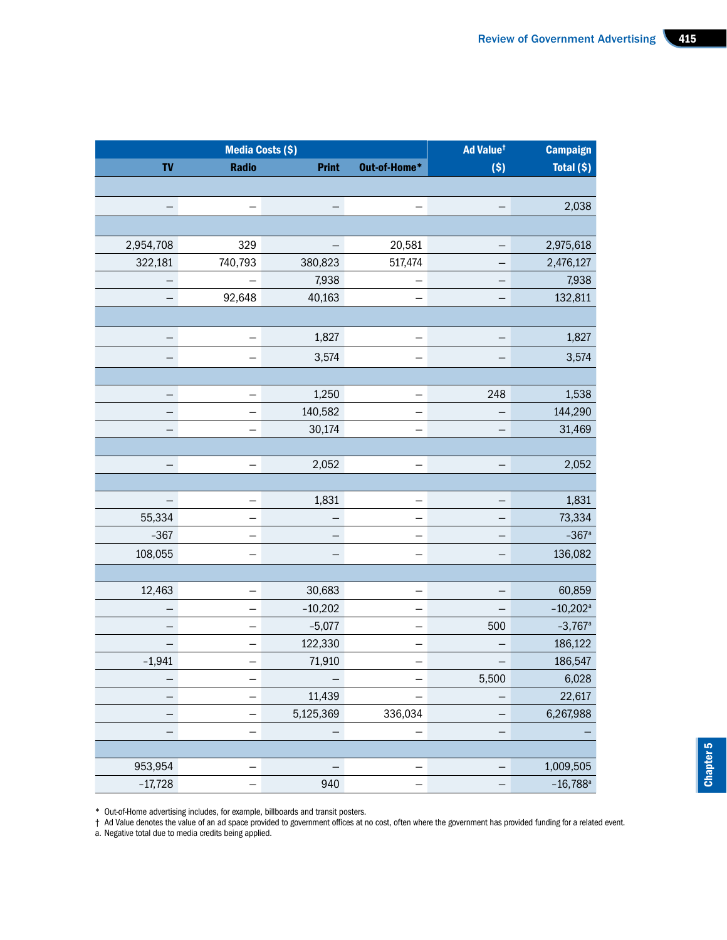| Radio<br><b>Print</b><br>Out-of-Home*<br>(S)<br>$\equiv$<br>$-1$<br>$\equiv$<br>$ \,$<br>329<br>20,581<br>$\left\vert -\right\vert$<br>$\overline{\phantom{m}}$<br>517,474<br>740,793<br>380,823<br>$-$<br>7,938<br>$\equiv$<br>$\overline{\phantom{m}}$<br>$-$<br>92,648<br>40,163<br>$\overline{\phantom{0}}$<br>$\overline{\phantom{m}}$<br>1,827<br>$-1$<br>$-$<br>$-$<br>3,574<br>$\overline{a}$<br>$-1$<br>$ \,$<br>1,250<br>248<br>$ \,$<br>$-$<br>140,582<br>$\overline{\phantom{0}}$<br>$\overline{\phantom{0}}$<br>$\overline{\phantom{m}}$<br>30,174<br>$\sim$ .<br>$\overline{\phantom{0}}$<br>$ \,$<br>2,052<br>$-1$<br>$ \,$<br>$ \,$<br>1,831<br>$ \,$<br>$ \,$<br>$-$<br>$\equiv$<br>$ \,$<br>$\overline{\phantom{m}}$<br>$-$<br>$\equiv$<br>$\equiv$<br>$-$<br>$ \,$<br>$\equiv$<br>$\overline{\phantom{0}}$<br>$-$<br>$\overline{\phantom{m}}$<br>30,683<br>$-$<br>$-$<br>$ \,$<br>$-10,202$<br>$\overline{\phantom{m}}$<br>$-$<br>$-$<br>500<br>$-5,077$<br>$-$<br>$-$<br>122,330<br>$-$<br>$-$<br>$\overline{\phantom{m}}$<br>71,910<br>$\equiv$<br>$\qquad \qquad -$<br>$-$<br>$\left\vert -\right\vert$<br>5,500<br>$ \,$<br>$\qquad \qquad -$<br>11,439<br>$-1$<br>$-$<br>$ \,$<br>5,125,369<br>336,034<br>$\hspace{0.1mm}-\hspace{0.1mm}$<br>$ \,$<br>$\sim$ .<br>$\hspace{0.1mm}-\hspace{0.1mm}$<br>$\overline{a}$<br>$\leftarrow$<br>$\left\vert -\right\vert$<br>$ \,$<br>$ \,$<br>$\overline{a}$<br>$-1$<br>$\overline{a}$<br>$ \,$ | <b>Campaign</b>        | Ad Value <sup>t</sup> |     | <b>Media Costs (\$)</b> |                    |
|-----------------------------------------------------------------------------------------------------------------------------------------------------------------------------------------------------------------------------------------------------------------------------------------------------------------------------------------------------------------------------------------------------------------------------------------------------------------------------------------------------------------------------------------------------------------------------------------------------------------------------------------------------------------------------------------------------------------------------------------------------------------------------------------------------------------------------------------------------------------------------------------------------------------------------------------------------------------------------------------------------------------------------------------------------------------------------------------------------------------------------------------------------------------------------------------------------------------------------------------------------------------------------------------------------------------------------------------------------------------------------------------------------------------------------------------------------------------|------------------------|-----------------------|-----|-------------------------|--------------------|
|                                                                                                                                                                                                                                                                                                                                                                                                                                                                                                                                                                                                                                                                                                                                                                                                                                                                                                                                                                                                                                                                                                                                                                                                                                                                                                                                                                                                                                                                 | Total (\$)             |                       |     |                         | TV                 |
|                                                                                                                                                                                                                                                                                                                                                                                                                                                                                                                                                                                                                                                                                                                                                                                                                                                                                                                                                                                                                                                                                                                                                                                                                                                                                                                                                                                                                                                                 |                        |                       |     |                         |                    |
|                                                                                                                                                                                                                                                                                                                                                                                                                                                                                                                                                                                                                                                                                                                                                                                                                                                                                                                                                                                                                                                                                                                                                                                                                                                                                                                                                                                                                                                                 | 2,038                  |                       |     |                         | $\left  - \right $ |
|                                                                                                                                                                                                                                                                                                                                                                                                                                                                                                                                                                                                                                                                                                                                                                                                                                                                                                                                                                                                                                                                                                                                                                                                                                                                                                                                                                                                                                                                 |                        |                       |     |                         |                    |
|                                                                                                                                                                                                                                                                                                                                                                                                                                                                                                                                                                                                                                                                                                                                                                                                                                                                                                                                                                                                                                                                                                                                                                                                                                                                                                                                                                                                                                                                 | 2,975,618              |                       |     |                         | 2,954,708          |
|                                                                                                                                                                                                                                                                                                                                                                                                                                                                                                                                                                                                                                                                                                                                                                                                                                                                                                                                                                                                                                                                                                                                                                                                                                                                                                                                                                                                                                                                 | 2,476,127              |                       |     |                         | 322,181            |
|                                                                                                                                                                                                                                                                                                                                                                                                                                                                                                                                                                                                                                                                                                                                                                                                                                                                                                                                                                                                                                                                                                                                                                                                                                                                                                                                                                                                                                                                 | 7,938                  |                       |     |                         | $\equiv$           |
|                                                                                                                                                                                                                                                                                                                                                                                                                                                                                                                                                                                                                                                                                                                                                                                                                                                                                                                                                                                                                                                                                                                                                                                                                                                                                                                                                                                                                                                                 | 132,811                |                       |     |                         | $\equiv$           |
|                                                                                                                                                                                                                                                                                                                                                                                                                                                                                                                                                                                                                                                                                                                                                                                                                                                                                                                                                                                                                                                                                                                                                                                                                                                                                                                                                                                                                                                                 |                        |                       |     |                         |                    |
|                                                                                                                                                                                                                                                                                                                                                                                                                                                                                                                                                                                                                                                                                                                                                                                                                                                                                                                                                                                                                                                                                                                                                                                                                                                                                                                                                                                                                                                                 | 1,827                  |                       |     |                         | $\equiv$           |
|                                                                                                                                                                                                                                                                                                                                                                                                                                                                                                                                                                                                                                                                                                                                                                                                                                                                                                                                                                                                                                                                                                                                                                                                                                                                                                                                                                                                                                                                 | 3,574                  |                       |     |                         | $\equiv$           |
|                                                                                                                                                                                                                                                                                                                                                                                                                                                                                                                                                                                                                                                                                                                                                                                                                                                                                                                                                                                                                                                                                                                                                                                                                                                                                                                                                                                                                                                                 |                        |                       |     |                         |                    |
|                                                                                                                                                                                                                                                                                                                                                                                                                                                                                                                                                                                                                                                                                                                                                                                                                                                                                                                                                                                                                                                                                                                                                                                                                                                                                                                                                                                                                                                                 | 1,538                  |                       |     |                         | $\equiv$           |
|                                                                                                                                                                                                                                                                                                                                                                                                                                                                                                                                                                                                                                                                                                                                                                                                                                                                                                                                                                                                                                                                                                                                                                                                                                                                                                                                                                                                                                                                 | 144,290                |                       |     |                         | $\equiv$           |
|                                                                                                                                                                                                                                                                                                                                                                                                                                                                                                                                                                                                                                                                                                                                                                                                                                                                                                                                                                                                                                                                                                                                                                                                                                                                                                                                                                                                                                                                 | 31,469                 |                       |     |                         | $\equiv$           |
|                                                                                                                                                                                                                                                                                                                                                                                                                                                                                                                                                                                                                                                                                                                                                                                                                                                                                                                                                                                                                                                                                                                                                                                                                                                                                                                                                                                                                                                                 |                        |                       |     |                         |                    |
|                                                                                                                                                                                                                                                                                                                                                                                                                                                                                                                                                                                                                                                                                                                                                                                                                                                                                                                                                                                                                                                                                                                                                                                                                                                                                                                                                                                                                                                                 | 2,052                  |                       |     |                         | $\equiv$           |
|                                                                                                                                                                                                                                                                                                                                                                                                                                                                                                                                                                                                                                                                                                                                                                                                                                                                                                                                                                                                                                                                                                                                                                                                                                                                                                                                                                                                                                                                 |                        |                       |     |                         |                    |
|                                                                                                                                                                                                                                                                                                                                                                                                                                                                                                                                                                                                                                                                                                                                                                                                                                                                                                                                                                                                                                                                                                                                                                                                                                                                                                                                                                                                                                                                 | 1,831                  |                       |     |                         | $\equiv$           |
|                                                                                                                                                                                                                                                                                                                                                                                                                                                                                                                                                                                                                                                                                                                                                                                                                                                                                                                                                                                                                                                                                                                                                                                                                                                                                                                                                                                                                                                                 | 73,334                 |                       |     |                         | 55,334             |
|                                                                                                                                                                                                                                                                                                                                                                                                                                                                                                                                                                                                                                                                                                                                                                                                                                                                                                                                                                                                                                                                                                                                                                                                                                                                                                                                                                                                                                                                 | $-367$ <sup>a</sup>    |                       |     |                         | $-367$             |
|                                                                                                                                                                                                                                                                                                                                                                                                                                                                                                                                                                                                                                                                                                                                                                                                                                                                                                                                                                                                                                                                                                                                                                                                                                                                                                                                                                                                                                                                 | 136,082                |                       |     |                         | 108,055            |
|                                                                                                                                                                                                                                                                                                                                                                                                                                                                                                                                                                                                                                                                                                                                                                                                                                                                                                                                                                                                                                                                                                                                                                                                                                                                                                                                                                                                                                                                 |                        |                       |     |                         |                    |
|                                                                                                                                                                                                                                                                                                                                                                                                                                                                                                                                                                                                                                                                                                                                                                                                                                                                                                                                                                                                                                                                                                                                                                                                                                                                                                                                                                                                                                                                 | 60,859                 |                       |     |                         | 12,463             |
|                                                                                                                                                                                                                                                                                                                                                                                                                                                                                                                                                                                                                                                                                                                                                                                                                                                                                                                                                                                                                                                                                                                                                                                                                                                                                                                                                                                                                                                                 | $-10,202$ <sup>a</sup> |                       |     |                         | $\equiv$           |
|                                                                                                                                                                                                                                                                                                                                                                                                                                                                                                                                                                                                                                                                                                                                                                                                                                                                                                                                                                                                                                                                                                                                                                                                                                                                                                                                                                                                                                                                 | $-3,767$ <sup>a</sup>  |                       |     |                         | $\equiv$           |
|                                                                                                                                                                                                                                                                                                                                                                                                                                                                                                                                                                                                                                                                                                                                                                                                                                                                                                                                                                                                                                                                                                                                                                                                                                                                                                                                                                                                                                                                 | 186,122                |                       |     |                         | $\equiv$           |
|                                                                                                                                                                                                                                                                                                                                                                                                                                                                                                                                                                                                                                                                                                                                                                                                                                                                                                                                                                                                                                                                                                                                                                                                                                                                                                                                                                                                                                                                 | 186,547                |                       |     |                         | $-1,941$           |
|                                                                                                                                                                                                                                                                                                                                                                                                                                                                                                                                                                                                                                                                                                                                                                                                                                                                                                                                                                                                                                                                                                                                                                                                                                                                                                                                                                                                                                                                 | 6,028                  |                       |     |                         | $-$ .              |
|                                                                                                                                                                                                                                                                                                                                                                                                                                                                                                                                                                                                                                                                                                                                                                                                                                                                                                                                                                                                                                                                                                                                                                                                                                                                                                                                                                                                                                                                 | 22,617                 |                       |     |                         | $\equiv$           |
|                                                                                                                                                                                                                                                                                                                                                                                                                                                                                                                                                                                                                                                                                                                                                                                                                                                                                                                                                                                                                                                                                                                                                                                                                                                                                                                                                                                                                                                                 | 6,267,988              |                       |     |                         | $\equiv$           |
|                                                                                                                                                                                                                                                                                                                                                                                                                                                                                                                                                                                                                                                                                                                                                                                                                                                                                                                                                                                                                                                                                                                                                                                                                                                                                                                                                                                                                                                                 |                        |                       |     |                         | $\equiv$           |
|                                                                                                                                                                                                                                                                                                                                                                                                                                                                                                                                                                                                                                                                                                                                                                                                                                                                                                                                                                                                                                                                                                                                                                                                                                                                                                                                                                                                                                                                 |                        |                       |     |                         |                    |
|                                                                                                                                                                                                                                                                                                                                                                                                                                                                                                                                                                                                                                                                                                                                                                                                                                                                                                                                                                                                                                                                                                                                                                                                                                                                                                                                                                                                                                                                 | 1,009,505              |                       |     |                         | 953,954            |
|                                                                                                                                                                                                                                                                                                                                                                                                                                                                                                                                                                                                                                                                                                                                                                                                                                                                                                                                                                                                                                                                                                                                                                                                                                                                                                                                                                                                                                                                 | $-16,788^{\circ}$      |                       | 940 |                         | $-17,728$          |

\* Out-of-Home advertising includes, for example, billboards and transit posters.

† Ad Value denotes the value of an ad space provided to government offices at no cost, often where the government has provided funding for a related event.

a. Negative total due to media credits being applied.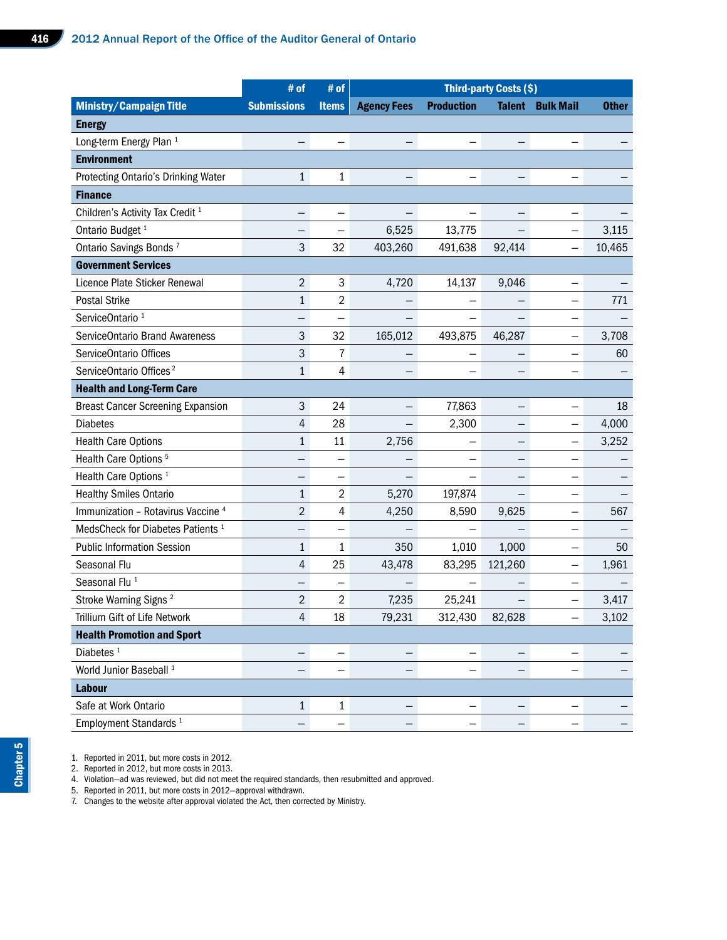|                                               | # of               | # of                     |                          |                          | Third-party Costs (\$)   |                          |                                 |
|-----------------------------------------------|--------------------|--------------------------|--------------------------|--------------------------|--------------------------|--------------------------|---------------------------------|
| <b>Ministry/Campaign Title</b>                | <b>Submissions</b> | <b>Items</b>             | <b>Agency Fees</b>       | <b>Production</b>        |                          | <b>Talent Bulk Mail</b>  | <b>Other</b>                    |
| <b>Energy</b>                                 |                    |                          |                          |                          |                          |                          |                                 |
| Long-term Energy Plan <sup>1</sup>            | $-$                | $\overline{\phantom{m}}$ | $-$                      | $\overline{\phantom{m}}$ | $\overline{\phantom{m}}$ |                          |                                 |
| <b>Environment</b>                            |                    |                          |                          |                          |                          |                          |                                 |
| Protecting Ontario's Drinking Water           | 1                  | $\mathbf 1$              | $\overline{\phantom{m}}$ | $\overline{\phantom{m}}$ | $\qquad \qquad -$        | $\qquad \qquad -$        |                                 |
| <b>Finance</b>                                |                    |                          |                          |                          |                          |                          |                                 |
| Children's Activity Tax Credit <sup>1</sup>   | $\qquad \qquad -$  | $\qquad \qquad -$        | $\overline{\phantom{m}}$ | $\overline{\phantom{m}}$ | $\qquad \qquad -$        | $\overline{\phantom{0}}$ | $\qquad \qquad -$               |
| Ontario Budget <sup>1</sup>                   | $\qquad \qquad -$  | $\qquad \qquad -$        | 6,525                    | 13,775                   | $-$                      | $ \,$                    | 3,115                           |
| Ontario Savings Bonds <sup>7</sup>            | 3                  | 32                       | 403,260                  | 491,638                  | 92,414                   | $ \,$                    | 10,465                          |
| <b>Government Services</b>                    |                    |                          |                          |                          |                          |                          |                                 |
| Licence Plate Sticker Renewal                 | $\overline{2}$     | $\mathbf{3}$             | 4,720                    | 14,137                   | 9,046                    | $\qquad \qquad -$        |                                 |
| Postal Strike                                 | 1                  | $\overline{2}$           | $-$                      | $\overline{\phantom{m}}$ | $-$                      | $-$                      | 771                             |
| ServiceOntario <sup>1</sup>                   | $-$                | $\overline{\phantom{m}}$ | $\overline{\phantom{m}}$ | $\overline{\phantom{m}}$ | $-$                      | $-$                      |                                 |
| ServiceOntario Brand Awareness                | 3                  | 32                       | 165,012                  | 493,875                  | 46,287                   | $\qquad \qquad -$        | 3,708                           |
| ServiceOntario Offices                        | $\mathbf{3}$       | $\overline{7}$           | $-$                      | $\qquad \qquad -$        | $\qquad \qquad -$        | $-$                      | 60                              |
| ServiceOntario Offices <sup>2</sup>           | $\mathbf{1}$       | $\overline{4}$           | $\overline{\phantom{m}}$ |                          | $\qquad \qquad -$        | $\overline{\phantom{m}}$ |                                 |
| <b>Health and Long-Term Care</b>              |                    |                          |                          |                          |                          |                          |                                 |
| <b>Breast Cancer Screening Expansion</b>      | 3                  | 24                       | $\overline{\phantom{m}}$ | 77,863                   | $-$                      | $\overline{\phantom{m}}$ | 18                              |
| <b>Diabetes</b>                               | 4                  | 28                       | $-$                      | 2,300                    | $-$                      | $-$                      | 4,000                           |
| <b>Health Care Options</b>                    |                    | 11                       | 2,756                    | $\overline{\phantom{m}}$ | $-$                      | $-$                      | 3,252                           |
| Health Care Options <sup>5</sup>              | $\qquad \qquad -$  | $\overline{\phantom{m}}$ | $-$                      | $\qquad \qquad -$        | $-$                      | $\qquad \qquad -$        | $\overline{\phantom{0}}$        |
| Health Care Options <sup>1</sup>              | $\qquad \qquad -$  | $\overline{\phantom{m}}$ | $\overline{\phantom{m}}$ | $\overline{\phantom{m}}$ | $-$                      | $\qquad \qquad -$        |                                 |
| <b>Healthy Smiles Ontario</b>                 | 1                  | $\overline{a}$           | 5,270                    | 197,874                  | $-$                      | $-$                      | $-$                             |
| Immunization - Rotavirus Vaccine <sup>4</sup> | $\overline{2}$     | $\overline{4}$           | 4,250                    | 8,590                    | 9,625                    | $-$                      | 567                             |
| MedsCheck for Diabetes Patients <sup>1</sup>  | $ \,$              | $\qquad \qquad -$        | $\overline{\phantom{m}}$ | $\overline{\phantom{m}}$ | $-$                      | $-$                      | $\hspace{0.1mm}-\hspace{0.1mm}$ |
| <b>Public Information Session</b>             | 1                  | 1                        | 350                      | 1,010                    | 1,000                    | $-$                      | 50                              |
| Seasonal Flu                                  | 4                  | 25                       | 43,478                   |                          | 83,295 121,260           | $\overline{\phantom{a}}$ | 1,961                           |
| Seasonal Flu <sup>1</sup>                     | $\qquad \qquad -$  | $\overline{\phantom{0}}$ | $\qquad \qquad -$        | $\overline{\phantom{m}}$ | $\qquad \qquad -$        | $-$                      | $\qquad \qquad -$               |
| Stroke Warning Signs <sup>2</sup>             | $\overline{2}$     | $\overline{2}$           | 7,235                    | 25,241                   | $-$                      | $-$                      | 3,417                           |
| Trillium Gift of Life Network                 | $\overline{4}$     | 18                       | 79,231                   | 312,430                  | 82,628                   | $-$                      | 3,102                           |
| <b>Health Promotion and Sport</b>             |                    |                          |                          |                          |                          |                          |                                 |
| Diabetes <sup>1</sup>                         | $\qquad \qquad -$  | $\qquad \qquad -$        | $-$ .                    | $\overline{\phantom{m}}$ | $\overline{\phantom{m}}$ | $-$                      |                                 |
| World Junior Baseball <sup>1</sup>            | $-$                | $-$                      | $ \,$                    | $\qquad \qquad -$        | $\overline{\phantom{m}}$ | $-$                      |                                 |
| Labour                                        |                    |                          |                          |                          |                          |                          |                                 |
| Safe at Work Ontario                          | $\mathbf{1}$       | $\mathbf{1}$             | $\overline{\phantom{0}}$ | $\overline{\phantom{m}}$ | $\overline{\phantom{m}}$ | $\overline{\phantom{m}}$ |                                 |
| Employment Standards <sup>1</sup>             | $-$                | $\overline{\phantom{m}}$ | $\overline{\phantom{0}}$ | $\overline{\phantom{m}}$ | $-$                      | $\qquad \qquad -$        |                                 |

1. Reported in 2011, but more costs in 2012.

2. Reported in 2012, but more costs in 2013.

4. Violation—ad was reviewed, but did not meet the required standards, then resubmitted and approved.

5. Reported in 2011, but more costs in 2012—approval withdrawn.

7. Changes to the website after approval violated the Act, then corrected by Ministry.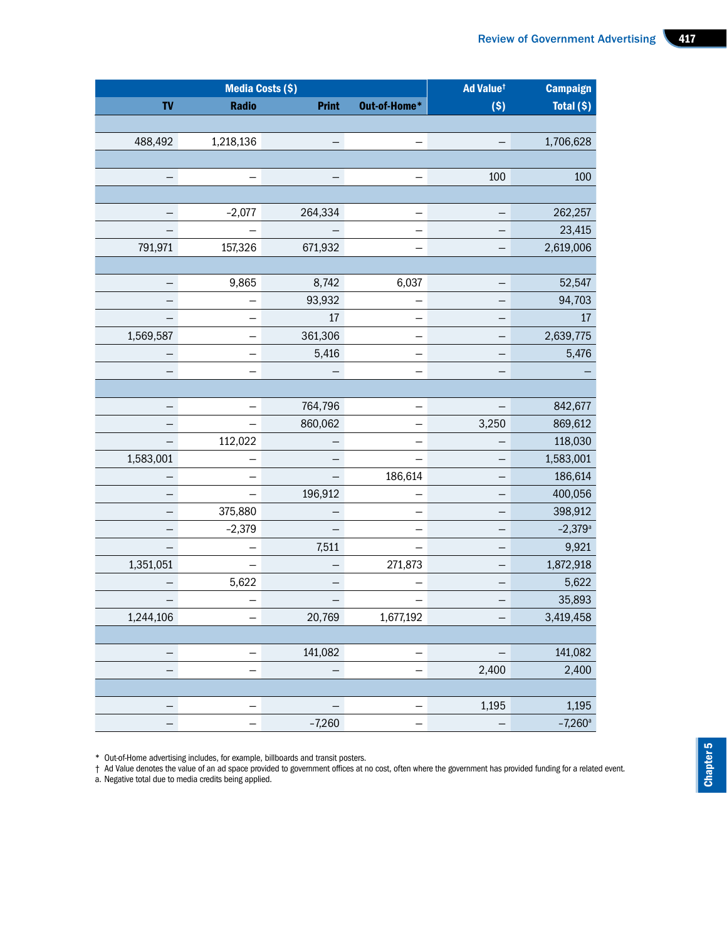| Ad Value <sup>t</sup><br><b>Campaign</b>          |                          |          | <b>Media Costs (\$)</b> |                                 |                          |
|---------------------------------------------------|--------------------------|----------|-------------------------|---------------------------------|--------------------------|
| (S)<br>Total (\$)                                 | Print Out-of-Home*       |          |                         | Radio                           | <b>TV</b>                |
|                                                   |                          |          |                         |                                 |                          |
| 1,706,628<br>$\overline{\phantom{m}}$             | $ \,$                    | $\equiv$ |                         | 1,218,136                       | 488,492                  |
|                                                   |                          |          |                         |                                 |                          |
| 100<br>100                                        | $ \,$                    | $\equiv$ |                         | $-$                             |                          |
|                                                   |                          |          |                         |                                 |                          |
| 262,257<br>$\overline{a}$                         | $\equiv$                 |          | 264,334                 | $-2,077$                        | $\equiv$                 |
| 23,415<br>$\overline{\phantom{0}}$                | $ \,$                    | $\equiv$ |                         | $\equiv$                        | $\equiv$                 |
| 2,619,006<br>$ \,$                                | $\equiv$                 |          | 671,932                 | 157,326                         | 791,971                  |
|                                                   |                          |          |                         |                                 |                          |
| 52,547<br>$\overline{\phantom{m}}$                | 6,037                    |          | 8,742                   | 9,865                           | $\equiv$                 |
| 94,703<br>$\overline{\phantom{m}}$                | $\overline{\phantom{m}}$ |          | 93,932                  | $-$                             | $\equiv$                 |
| $-$                                               | $ \,$                    | 17       |                         | $ \,$                           | $\equiv$                 |
| 2,639,775<br>$\overline{\phantom{m}}$             | $-$                      |          | 361,306                 | $-1$                            | 1,569,587                |
| 5,476<br>$\overline{\phantom{m}}$                 | $-$                      | 5,416    |                         | $-1$                            | $\equiv$                 |
| $\overline{\phantom{m}}$                          | $-$                      | $\equiv$ |                         | $-$                             | $\equiv$                 |
|                                                   |                          |          |                         |                                 |                          |
| 842,677<br>$-$                                    | $\equiv$                 |          | 764,796                 | $\hspace{0.1mm}-\hspace{0.1mm}$ | $\equiv$                 |
| 869,612<br>3,250                                  | $ \,$                    |          | 860,062                 | $ \,$                           | $\equiv$                 |
| 118,030<br>$-$                                    | $\overline{\phantom{m}}$ | $\equiv$ |                         | 112,022                         | $\equiv$                 |
| 1,583,001<br>$-$                                  | $-$                      | $\equiv$ |                         | $\overline{\phantom{0}}$        | 1,583,001                |
| 186,614<br>$-$                                    | 186,614                  | $\equiv$ |                         | $\equiv$                        | $\overline{\phantom{0}}$ |
| 400,056<br>$-$                                    | $-$                      |          | 196,912                 | $\equiv$                        | $\equiv$                 |
| 398,912<br>$-$                                    | $-$                      | $\equiv$ |                         | 375,880                         | $\equiv$                 |
| $-2,379^{\circ}$<br>$-1$                          | $ \,$                    | $\equiv$ |                         | $-2,379$                        | $\equiv$                 |
| 9,921<br>$-$                                      | $-$                      | 7,511    |                         | $\equiv$                        | $\equiv$                 |
| 1,872,918<br>$-$                                  | 271,873                  | $\equiv$ |                         | $ \,$                           | 1,351,051                |
| 5,622<br>$\overline{\phantom{m}}$                 | $-$                      | $\equiv$ |                         | 5,622                           | $\equiv$                 |
| 35,893<br>$\overline{\phantom{m}}$                | $-$                      | $\equiv$ |                         | $-$                             | $\equiv$                 |
| 3,419,458<br>$-$                                  | 1,677,192                |          | 20,769                  | $\equiv$                        | 1,244,106                |
|                                                   |                          |          |                         |                                 |                          |
| 141,082<br>$\overline{\phantom{m}}$               | $ \,$                    |          | 141,082                 | $\equiv$                        | $\equiv$                 |
| 2,400<br>2,400                                    | $-1$                     | $\equiv$ |                         | $\equiv$                        | $\equiv$                 |
|                                                   |                          |          |                         |                                 |                          |
| 1,195<br>1,195                                    | $\equiv$                 | $\equiv$ |                         | $\equiv$                        | $\equiv$                 |
| $-7,260$ <sup>a</sup><br>$\overline{\phantom{m}}$ | $ \,$                    |          | $-7,260$                | $ \,$                           | $\equiv$                 |

\* Out-of-Home advertising includes, for example, billboards and transit posters.

† Ad Value denotes the value of an ad space provided to government offices at no cost, often where the government has provided funding for a related event.

a. Negative total due to media credits being applied.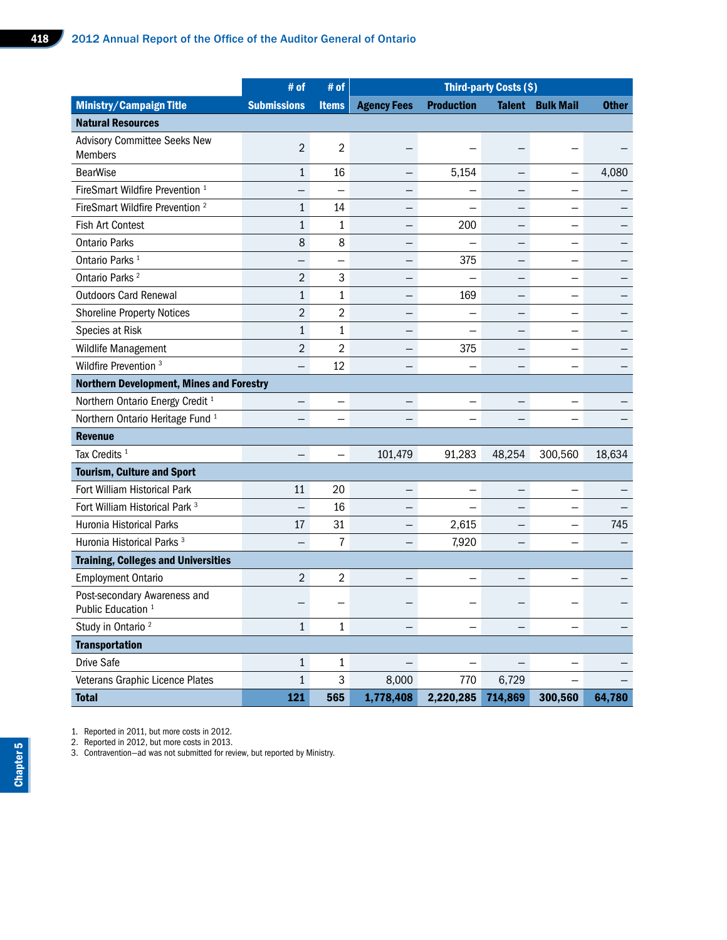|                                                 | # of                     | # of                     |                               |                                     | <b>Third-party Costs (\$)</b> |                          |                          |
|-------------------------------------------------|--------------------------|--------------------------|-------------------------------|-------------------------------------|-------------------------------|--------------------------|--------------------------|
| <b>Ministry/Campaign Title</b>                  | <b>Submissions</b>       | <b>Items</b>             | <b>Agency Fees Production</b> |                                     |                               | <b>Talent Bulk Mail</b>  | <b>Other</b>             |
| <b>Natural Resources</b>                        |                          |                          |                               |                                     |                               |                          |                          |
| Advisory Committee Seeks New                    | $\overline{2}$           | $\overline{2}$           | $\overline{\phantom{m}}$      |                                     |                               |                          |                          |
| Members                                         |                          |                          |                               |                                     |                               |                          |                          |
| <b>BearWise</b>                                 | 1                        | 16                       | $-$                           | 5,154                               | $-$                           | $\qquad \qquad -$        | 4,080                    |
| FireSmart Wildfire Prevention <sup>1</sup>      | $\overline{\phantom{0}}$ | $\qquad \qquad -$        | $\overline{\phantom{0}}$      | $\overline{\phantom{m}}$            | $\overline{\phantom{0}}$      | $\qquad \qquad -$        | $\overline{\phantom{m}}$ |
| FireSmart Wildfire Prevention <sup>2</sup>      | $\mathbf{1}$             | 14                       | $\overline{\phantom{0}}$      | $\overline{\phantom{m}}$            | $\overline{\phantom{0}}$      | $\qquad \qquad -$        |                          |
| Fish Art Contest                                | 1                        | 1                        | $ \,$                         | 200                                 | $-$                           | $\qquad \qquad -$        |                          |
| <b>Ontario Parks</b>                            | 8                        | 8                        | $\overline{\phantom{m}}$      | $\overline{\phantom{m}}$            | $-$                           | $\qquad \qquad -$        |                          |
| Ontario Parks <sup>1</sup>                      | $\qquad \qquad -$        | $\qquad \qquad -$        | $-$                           | 375                                 | $-$                           | $\qquad \qquad -$        |                          |
| Ontario Parks <sup>2</sup>                      | $\overline{2}$           | $\mathbf{3}$             | $\overline{\phantom{m}}$      |                                     | $-$                           | $\overline{\phantom{m}}$ |                          |
| <b>Outdoors Card Renewal</b>                    | 1                        | 1                        | $-$                           | 169                                 | $-$                           | $\qquad \qquad -$        |                          |
| <b>Shoreline Property Notices</b>               | $\overline{2}$           | $\overline{2}$           | $-$                           | $\overline{\phantom{m}}$            | $-$                           | $\overline{\phantom{0}}$ |                          |
| Species at Risk                                 | 1                        | $\mathbf{1}$             | $\overline{\phantom{m}}$      | $\overline{\phantom{m}}$            | $-$                           | $\qquad \qquad -$        |                          |
| Wildlife Management                             | $\overline{2}$           | $\overline{2}$           | $\overline{\phantom{0}}$      | 375                                 | $-$                           | $-$                      |                          |
| Wildfire Prevention <sup>3</sup>                | $ \,$                    | 12                       | $\overline{\phantom{0}}$      | $-$                                 | $-$                           | $-$                      | -                        |
| <b>Northern Development, Mines and Forestry</b> |                          |                          |                               |                                     |                               |                          |                          |
| Northern Ontario Energy Credit <sup>1</sup>     | $ \,$                    | $-$                      | $-$                           | $\qquad \qquad -$                   | $-$                           | $-$                      |                          |
| Northern Ontario Heritage Fund <sup>1</sup>     | $\overline{\phantom{0}}$ | $-$                      | $\equiv$                      | $\qquad \qquad -$                   | $-$                           | $\overline{\phantom{0}}$ |                          |
| <b>Revenue</b>                                  |                          |                          |                               |                                     |                               |                          |                          |
| Tax Credits <sup>1</sup>                        | $-$                      | $\overline{\phantom{m}}$ | 101,479                       | 91,283                              | 48,254                        | 300,560                  | 18,634                   |
| <b>Tourism, Culture and Sport</b>               |                          |                          |                               |                                     |                               |                          |                          |
| Fort William Historical Park                    | 11                       | 20                       | $\overline{\phantom{0}}$      | $\overline{\phantom{m}}$            | $-$                           | $\qquad \qquad -$        |                          |
| Fort William Historical Park <sup>3</sup>       | $\qquad \qquad -$        | 16                       | $\overline{\phantom{m}}$      | $\overline{\phantom{m}}$            | $\overline{\phantom{0}}$      | $\qquad \qquad -$        | $\qquad \qquad -$        |
| Huronia Historical Parks                        | 17                       | 31                       | $-$                           | 2,615                               | $\overline{\phantom{0}}$      | $-$                      | 745                      |
| Huronia Historical Parks <sup>3</sup>           | $-$                      | $\overline{7}$           | $ \,$                         | 7,920                               | $-$                           | $\qquad \qquad -$        |                          |
| <b>Training, Colleges and Universities</b>      |                          |                          |                               |                                     |                               |                          |                          |
| <b>Employment Ontario</b>                       | $\overline{2}$           | $\overline{2}$           | $-$                           | $\overline{\phantom{m}}$            | $\qquad \qquad -$             | $\qquad \qquad -$        |                          |
| Post-secondary Awareness and                    |                          |                          |                               |                                     |                               |                          |                          |
| Public Education <sup>1</sup>                   | $\qquad \qquad \qquad$   |                          | $\overline{\phantom{m}}$      |                                     |                               |                          |                          |
| Study in Ontario <sup>2</sup>                   | 1                        | $\mathbf{1}$             | $\equiv$                      | $\overline{\phantom{m}}$            | $\overline{\phantom{0}}$      | $\overline{\phantom{m}}$ |                          |
| <b>Transportation</b>                           |                          |                          |                               |                                     |                               |                          |                          |
| Drive Safe                                      | 1                        | $\mathbf{1}$             | $\overline{\phantom{m}}$      |                                     | $\overline{\phantom{m}}$      | $\overline{\phantom{m}}$ |                          |
| Veterans Graphic Licence Plates                 | 1                        | $\mathbf{3}$             | 8,000                         | 770                                 | 6,729                         |                          |                          |
| <b>Total</b>                                    | 121                      | 565                      |                               | 1,778,408 2,220,285 714,869 300,560 |                               |                          | 64,780                   |

1. Reported in 2011, but more costs in 2012.

2. Reported in 2012, but more costs in 2013.

3. Contravention—ad was not submitted for review, but reported by Ministry.